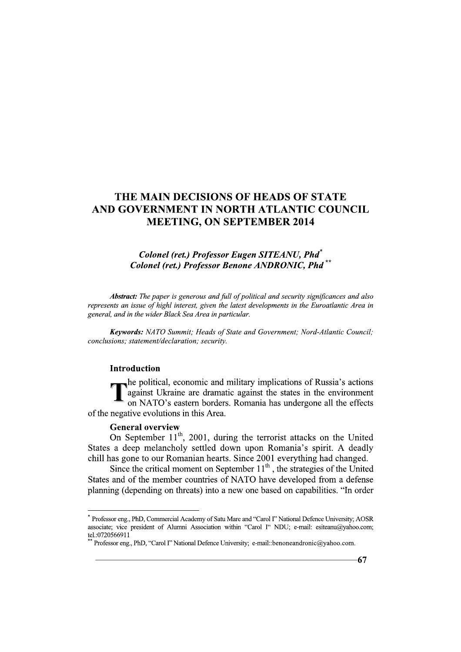# THE MAIN DECISIONS OF HEADS OF STATE<br>
AND GOVERNMENT IN NORTH ATLANTIC COUNCIL<br>
MEETING, ON SEPTEMBER 2014<br>
Colonel (ret.) Professor Eugen SITEANU, Pha<sup>\*</sup><br>
Colonel (ret.) Professor Benone ANDRONIC, Pha<sup>\*\*</sup><br>
Abstract: The p

# Colonel (ret.) Professor Eugen SITEANU, Phd<sup>\*</sup> Colonel (ret.) Professor Benone ANDRONIC, Phd

 $\mathbb{R}^2$ Abstract: The paper is generous and full of political and security significances and also represents an issue of highl interest, given the latest developments in the Euroatlantic Area in general, and in the wider Black Sea Area in particular.

**Keywords:** NATO Summit; Heads of State and Government; Nord-Atlantic Council; conclusions; statement/declaration; security.

# Introduction

he political, economic and military implications of Russia's actions  $\frac{1}{2}$  against Ukraine are dramatic against the states in the environment on NATO's eastern borders. Romania has undergone all the effects of the negative evolutions in this Area.

### **General overview**

i<br>Li

On September  $11^{th}$ , 2001, during the terrorist attacks on the United States a deep melancholy settled down upon Romania's spirit. A deadly chill has gone to our Romanian hearts. Since 2001 everything had changed.

Since the critical moment on September  $11<sup>th</sup>$ , the strategies of the United States and of the member countries of NATO have developed from a defense planning (depending on threats) into a new one based on capabilities. "In order **Example 10**<br> **Example 10**<br> **Example 10**<br> **Example 11<sup>th</sup>, 2001, during the terrorist attacks on the Uni<br>
States a deep melancholy settled down upon Romania's spirit. A deachill has gone to our Romanian hearts. Since 2001** 

Professor eng., PhD, Commercial Academy of Satu Mare and "Carol I" National Defence University; AOSR associate; vice president of Alumni Association within "Carol I" NDU; e-mail: esiteanu@yahoo.com; tel.:0720566911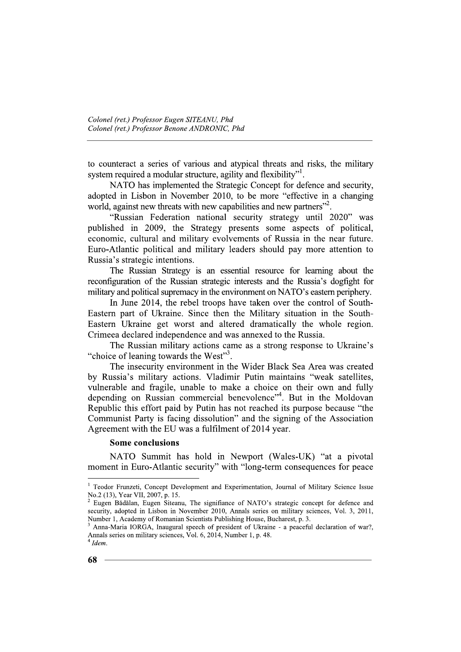to counteract a series of various and atypical threats and risks, the military system required a modular structure, agility and flexibility".

NATO has implemented the Strategic Concept for defence and security, adopted in Lisbon in November 2010, to be more "effective in a changing world, against new threats with new capabilities and new partners"<sup>2</sup>.

"Russian Federation national security strategy until 2020" was published in 2009, the Strategy presents some aspects of political, economic, cultural and military evolvements of Russia in the near future. Euro-Atlantic political and military leaders should pay more attention to Russia's strategic intentions.

The Russian Strategy is an essential resource for learning about the reconfiguration of the Russian strategic interests and the Russia's dogfight for military and political supremacy in the environment on NATO's eastern periphery.

In June 2014, the rebel troops have taken over the control of South-Eastern part of Ukraine. Since then the Military situation in the South-Eastern Ukraine get worst and altered dramatically the whole region. Crimeea declared independence and was annexed to the Russia.

The Russian military actions came as a strong response to Ukraine's "choice of leaning towards the West"<sup>3</sup>.

The insecurity environment in the Wider Black Sea Area was created by Russia's military actions. Vladimir Putin maintains "weak satellites, vulnerable and fragile, unable to make a choice on their own and fully depending on Russian commercial benevolence"<sup>4</sup>. But in the Moldovan Republic this effort paid by Putin has not reached its purpose because "the Communist Party is facing dissolution" and the signing of the Association Agreement with the EU was a fulfilment of 2014 year.

# **Some conclusions**

NATO Summit has hold in Newport (Wales-UK) "at a pivotal moment in Euro-Atlantic security" with "long-term consequences for peace

<sup>&</sup>lt;sup>1</sup> Teodor Frunzeti, Concept Development and Experimentation, Journal of Military Science Issue No.2 (13), Year VII, 2007, p. 15.

Eugen Bădălan, Eugen Siteanu, The signifiance of NATO's strategic concept for defence and security, adopted in Lisbon in November 2010, Annals series on military sciences, Vol. 3, 2011, Number 1, Academy of Romanian Scientists Publishing House, Bucharest, p. 3.

Anna-Maria IORGA, Inaugural speech of president of Ukraine - a peaceful declaration of war?, Annals series on military sciences, Vol. 6, 2014, Number 1, p. 48.  $4$  Idem.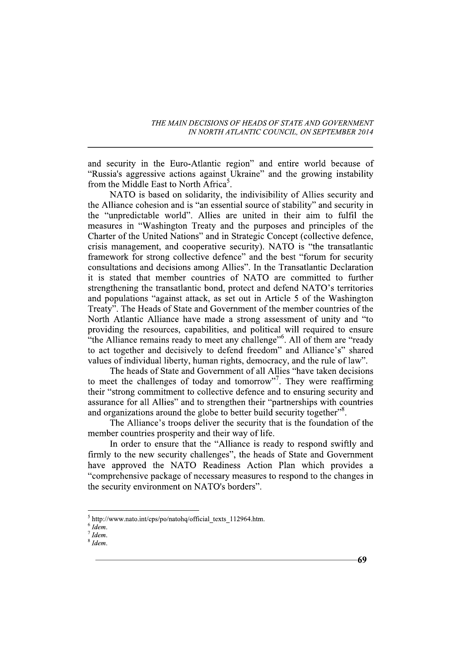and security in the Euro-Atlantic region" and entire world because of "Russia's aggressive actions against Ukraine" and the growing instability from the Middle East to North Africa<sup>5</sup>.

NATO is based on solidarity, the indivisibility of Allies security and the Alliance cohesion and is "an essential source of stability" and security in the "unpredictable world". Allies are united in their aim to fulfil the measures in "Washington Treaty and the purposes and principles of the Charter of the United Nations" and in Strategic Concept (collective defence, crisis management, and cooperative security). NATO is "the transatlantic framework for strong collective defence" and the best "forum for security consultations and decisions among Allies". In the Transatlantic Declaration it is stated that member countries of NATO are committed to further strengthening the transatlantic bond, protect and defend NATO's territories and populations "against attack, as set out in Article 5 of the Washington Treaty". The Heads of State and Government of the member countries of the North Atlantic Alliance have made a strong assessment of unity and "to providing the resources, capabilities, and political will required to ensure "the Alliance remains ready to meet any challenge"<sup>6</sup>. All of them are "ready" to act together and decisively to defend freedom" and Alliance's" shared values of individual liberty, human rights, democracy, and the rule of law".

The heads of State and Government of all Allies "have taken decisions to meet the challenges of today and tomorrow". They were reaffirming their "strong commitment to collective defence and to ensuring security and assurance for all Allies" and to strengthen their "partnerships with countries and organizations around the globe to better build security together<sup>38</sup>.

The Alliance's troops deliver the security that is the foundation of the member countries prosperity and their way of life.

In order to ensure that the "Alliance is ready to respond swiftly and firmly to the new security challenges", the heads of State and Government have approved the NATO Readiness Action Plan which provides a "comprehensive package of necessary measures to respond to the changes in the security environment on NATO's borders".

69

 $5$  http://www.nato.int/cps/po/natohq/official texts 112964.htm.

 $6$  Idem.

 $^7$  Idem.

 $8$  Idem.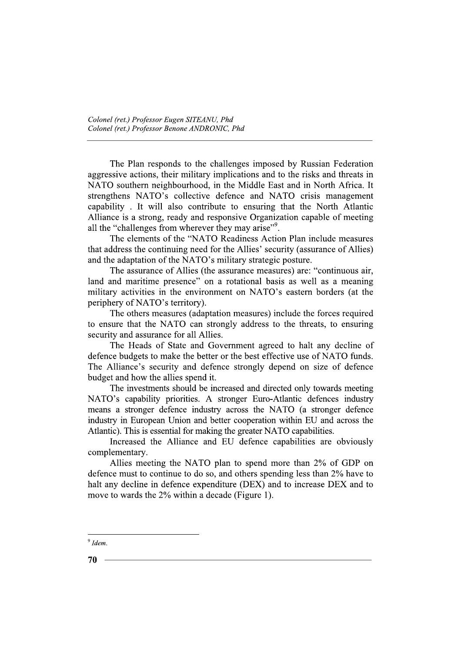The Plan responds to the challenges imposed by Russian Federation aggressive actions, their military implications and to the risks and threats in NATO southern neighbourhood, in the Middle East and in North Africa. It strengthens NATO's collective defence and NATO crisis management capability. It will also contribute to ensuring that the North Atlantic Alliance is a strong, ready and responsive Organization capable of meeting all the "challenges from wherever they may arise".

The elements of the "NATO Readiness Action Plan include measures that address the continuing need for the Allies' security (assurance of Allies) and the adaptation of the NATO's military strategic posture.

The assurance of Allies (the assurance measures) are: "continuous air, land and maritime presence" on a rotational basis as well as a meaning military activities in the environment on NATO's eastern borders (at the periphery of NATO's territory).

The others measures (adaptation measures) include the forces required to ensure that the NATO can strongly address to the threats, to ensuring security and assurance for all Allies.

The Heads of State and Government agreed to halt any decline of defence budgets to make the better or the best effective use of NATO funds. The Alliance's security and defence strongly depend on size of defence budget and how the allies spend it.

The investments should be increased and directed only towards meeting NATO's capability priorities. A stronger Euro-Atlantic defences industry means a stronger defence industry across the NATO (a stronger defence industry in European Union and better cooperation within EU and across the Atlantic). This is essential for making the greater NATO capabilities.

Increased the Alliance and EU defence capabilities are obviously complementary.

Allies meeting the NATO plan to spend more than 2% of GDP on defence must to continue to do so, and others spending less than 2% have to halt any decline in defence expenditure (DEX) and to increase DEX and to move to wards the 2% within a decade (Figure 1).

 $9$  Idem.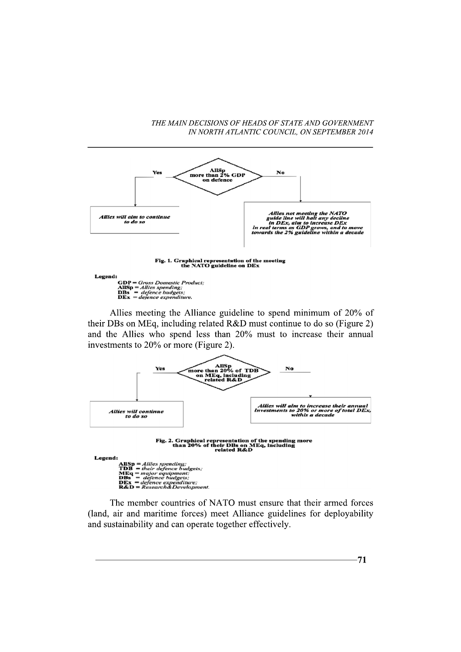

Allies meeting the Alliance guideline to spend minimum of 20% of

their DBs on MEq, including related R&D must continue to do so (Figure 2) and the Allies who spend less than 20% must to increase their annual investments to 20% or more (Figure 2).



The member countries of NATO must ensure that their armed forces (land, air and maritime forces) meet Alliance guidelines for deployability and sustainability and can operate together effectively.

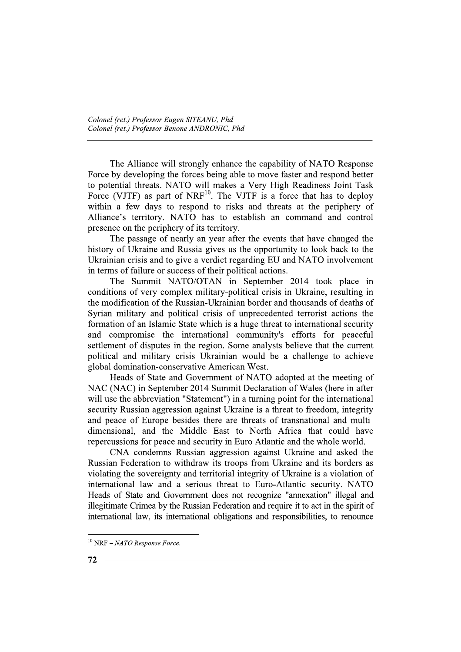The Alliance will strongly enhance the capability of NATO Response Force by developing the forces being able to move faster and respond better to potential threats. NATO will makes a Very High Readiness Joint Task Force (VJTF) as part of NRF<sup>10</sup>. The VJTF is a force that has to deploy within a few days to respond to risks and threats at the periphery of Alliance's territory. NATO has to establish an command and control presence on the periphery of its territory.

The passage of nearly an year after the events that have changed the history of Ukraine and Russia gives us the opportunity to look back to the Ukrainian crisis and to give a verdict regarding EU and NATO involvement in terms of failure or success of their political actions.

The Summit NATO/OTAN in September 2014 took place in conditions of very complex military-political crisis in Ukraine, resulting in the modification of the Russian-Ukrainian border and thousands of deaths of Syrian military and political crisis of unprecedented terrorist actions the formation of an Islamic State which is a huge threat to international security and compromise the international community's efforts for peaceful settlement of disputes in the region. Some analysts believe that the current political and military crisis Ukrainian would be a challenge to achieve global domination-conservative American West.

Heads of State and Government of NATO adopted at the meeting of NAC (NAC) in September 2014 Summit Declaration of Wales (here in after will use the abbreviation "Statement") in a turning point for the international security Russian aggression against Ukraine is a threat to freedom, integrity and peace of Europe besides there are threats of transnational and multidimensional, and the Middle East to North Africa that could have repercussions for peace and security in Euro Atlantic and the whole world.

CNA condemns Russian aggression against Ukraine and asked the Russian Federation to withdraw its troops from Ukraine and its borders as violating the sovereignty and territorial integrity of Ukraine is a violation of international law and a serious threat to Euro-Atlantic security. NATO Heads of State and Government does not recognize "annexation" illegal and illegitimate Crimea by the Russian Federation and require it to act in the spirit of international law, its international obligations and responsibilities, to renounce

 $10$  NRF - NATO Response Force.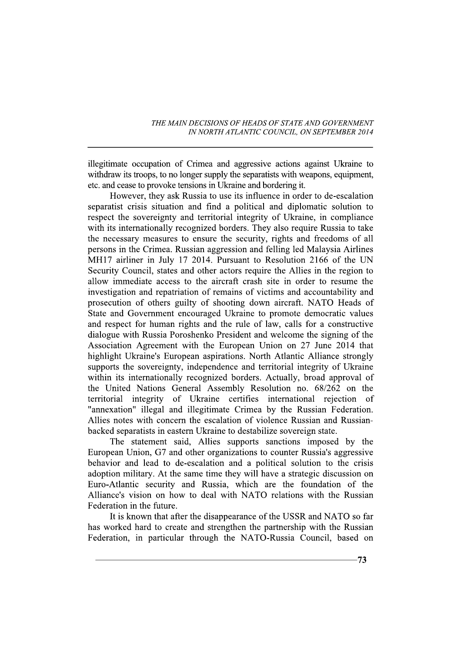illegitimate occupation of Crimea and aggressive actions against Ukraine to withdraw its troops, to no longer supply the separatists with weapons, equipment, etc. and cease to provoke tensions in Ukraine and bordering it.

However, they ask Russia to use its influence in order to de-escalation separatist crisis situation and find a political and diplomatic solution to respect the sovereignty and territorial integrity of Ukraine, in compliance with its internationally recognized borders. They also require Russia to take the necessary measures to ensure the security, rights and freedoms of all persons in the Crimea. Russian aggression and felling led Malaysia Airlines MH17 airliner in July 17 2014. Pursuant to Resolution 2166 of the UN Security Council, states and other actors require the Allies in the region to allow immediate access to the aircraft crash site in order to resume the investigation and repatriation of remains of victims and accountability and prosecution of others guilty of shooting down aircraft. NATO Heads of State and Government encouraged Ukraine to promote democratic values and respect for human rights and the rule of law, calls for a constructive dialogue with Russia Poroshenko President and welcome the signing of the Association Agreement with the European Union on 27 June 2014 that highlight Ukraine's European aspirations. North Atlantic Alliance strongly supports the sovereignty, independence and territorial integrity of Ukraine within its internationally recognized borders. Actually, broad approval of the United Nations General Assembly Resolution no. 68/262 on the territorial integrity of Ukraine certifies international rejection of "annexation" illegal and illegitimate Crimea by the Russian Federation. Allies notes with concern the escalation of violence Russian and Russianbacked separatists in eastern Ukraine to destabilize sovereign state.

The statement said, Allies supports sanctions imposed by the European Union, G7 and other organizations to counter Russia's aggressive behavior and lead to de-escalation and a political solution to the crisis adoption military. At the same time they will have a strategic discussion on Euro-Atlantic security and Russia, which are the foundation of the Alliance's vision on how to deal with NATO relations with the Russian Federation in the future.

It is known that after the disappearance of the USSR and NATO so far has worked hard to create and strengthen the partnership with the Russian Federation, in particular through the NATO-Russia Council, based on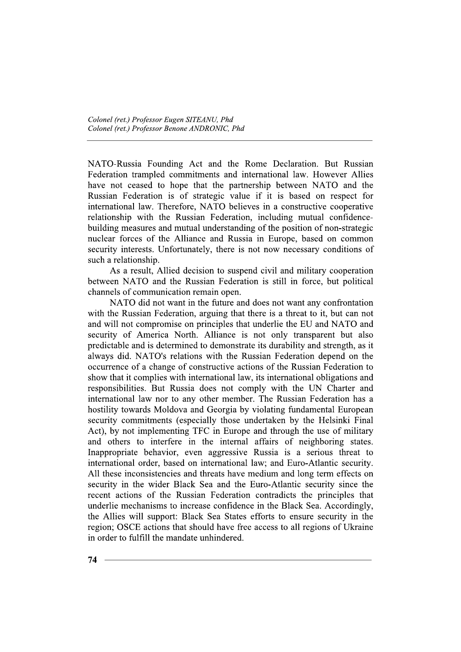NATO-Russia Founding Act and the Rome Declaration. But Russian Federation trampled commitments and international law. However Allies have not ceased to hope that the partnership between NATO and the Russian Federation is of strategic value if it is based on respect for international law. Therefore, NATO believes in a constructive cooperative relationship with the Russian Federation, including mutual confidencebuilding measures and mutual understanding of the position of non-strategic nuclear forces of the Alliance and Russia in Europe, based on common security interests. Unfortunately, there is not now necessary conditions of such a relationship.

As a result, Allied decision to suspend civil and military cooperation between NATO and the Russian Federation is still in force, but political channels of communication remain open.

NATO did not want in the future and does not want any confrontation with the Russian Federation, arguing that there is a threat to it, but can not and will not compromise on principles that underlie the EU and NATO and security of America North. Alliance is not only transparent but also predictable and is determined to demonstrate its durability and strength, as it always did. NATO's relations with the Russian Federation depend on the occurrence of a change of constructive actions of the Russian Federation to show that it complies with international law, its international obligations and responsibilities. But Russia does not comply with the UN Charter and international law nor to any other member. The Russian Federation has a hostility towards Moldova and Georgia by violating fundamental European security commitments (especially those undertaken by the Helsinki Final Act), by not implementing TFC in Europe and through the use of military and others to interfere in the internal affairs of neighboring states. Inappropriate behavior, even aggressive Russia is a serious threat to international order, based on international law; and Euro-Atlantic security. All these inconsistencies and threats have medium and long term effects on security in the wider Black Sea and the Euro-Atlantic security since the recent actions of the Russian Federation contradicts the principles that underlie mechanisms to increase confidence in the Black Sea. Accordingly, the Allies will support: Black Sea States efforts to ensure security in the region; OSCE actions that should have free access to all regions of Ukraine in order to fulfill the mandate unhindered.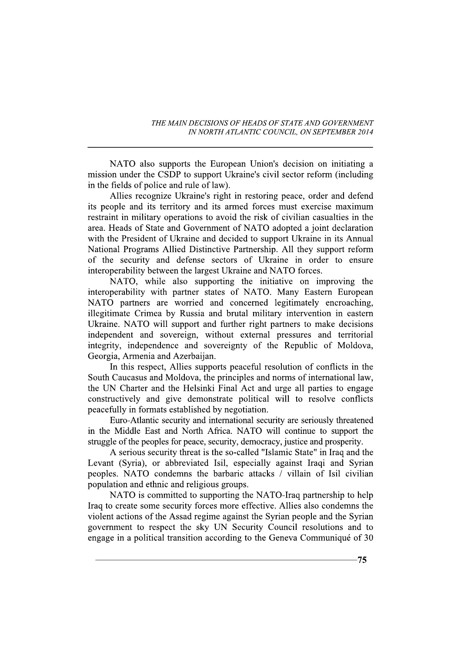NATO also supports the European Union's decision on initiating a mission under the CSDP to support Ukraine's civil sector reform (including in the fields of police and rule of law).

Allies recognize Ukraine's right in restoring peace, order and defend its people and its territory and its armed forces must exercise maximum restraint in military operations to avoid the risk of civilian casualties in the area. Heads of State and Government of NATO adopted a joint declaration with the President of Ukraine and decided to support Ukraine in its Annual National Programs Allied Distinctive Partnership. All they support reform of the security and defense sectors of Ukraine in order to ensure interoperability between the largest Ukraine and NATO forces.

NATO, while also supporting the initiative on improving the interoperability with partner states of NATO. Many Eastern European NATO partners are worried and concerned legitimately encroaching, illegitimate Crimea by Russia and brutal military intervention in eastern Ukraine. NATO will support and further right partners to make decisions independent and sovereign, without external pressures and territorial integrity, independence and sovereignty of the Republic of Moldova, Georgia, Armenia and Azerbaijan.

In this respect, Allies supports peaceful resolution of conflicts in the South Caucasus and Moldova, the principles and norms of international law, the UN Charter and the Helsinki Final Act and urge all parties to engage constructively and give demonstrate political will to resolve conflicts peacefully in formats established by negotiation.

Euro-Atlantic security and international security are seriously threatened in the Middle East and North Africa. NATO will continue to support the struggle of the peoples for peace, security, democracy, justice and prosperity.

A serious security threat is the so-called "Islamic State" in Iraq and the Levant (Syria), or abbreviated Isil, especially against Iraqi and Syrian peoples. NATO condemns the barbaric attacks / villain of Isil civilian population and ethnic and religious groups.

NATO is committed to supporting the NATO-Iraq partnership to help Iraq to create some security forces more effective. Allies also condemns the violent actions of the Assad regime against the Syrian people and the Syrian government to respect the sky UN Security Council resolutions and to engage in a political transition according to the Geneva Communiqué of 30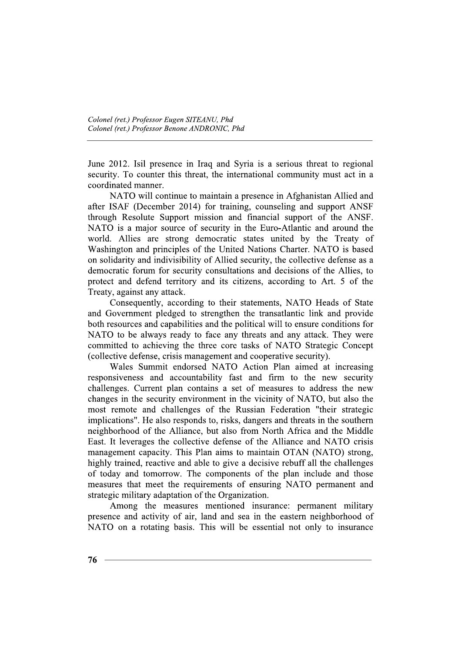June 2012. Isil presence in Iraq and Syria is a serious threat to regional security. To counter this threat, the international community must act in a coordinated manner.

NATO will continue to maintain a presence in Afghanistan Allied and after ISAF (December 2014) for training, counseling and support ANSF through Resolute Support mission and financial support of the ANSF. NATO is a major source of security in the Euro-Atlantic and around the world. Allies are strong democratic states united by the Treaty of Washington and principles of the United Nations Charter. NATO is based on solidarity and indivisibility of Allied security, the collective defense as a democratic forum for security consultations and decisions of the Allies, to protect and defend territory and its citizens, according to Art. 5 of the Treaty, against any attack.

Consequently, according to their statements, NATO Heads of State and Government pledged to strengthen the transatlantic link and provide both resources and capabilities and the political will to ensure conditions for NATO to be always ready to face any threats and any attack. They were committed to achieving the three core tasks of NATO Strategic Concept (collective defense, crisis management and cooperative security).

Wales Summit endorsed NATO Action Plan aimed at increasing responsiveness and accountability fast and firm to the new security challenges. Current plan contains a set of measures to address the new changes in the security environment in the vicinity of NATO, but also the most remote and challenges of the Russian Federation "their strategic implications". He also responds to, risks, dangers and threats in the southern neighborhood of the Alliance, but also from North Africa and the Middle East. It leverages the collective defense of the Alliance and NATO crisis management capacity. This Plan aims to maintain OTAN (NATO) strong, highly trained, reactive and able to give a decisive rebuff all the challenges of today and tomorrow. The components of the plan include and those measures that meet the requirements of ensuring NATO permanent and strategic military adaptation of the Organization.

Among the measures mentioned insurance: permanent military presence and activity of air, land and sea in the eastern neighborhood of NATO on a rotating basis. This will be essential not only to insurance

76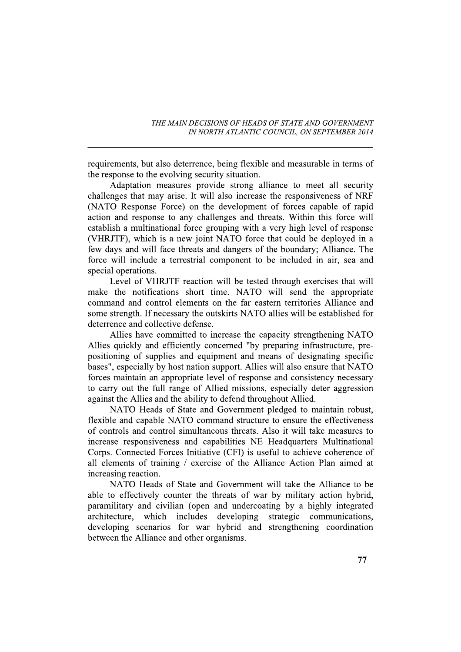requirements, but also deterrence, being flexible and measurable in terms of the response to the evolving security situation.

Adaptation measures provide strong alliance to meet all security challenges that may arise. It will also increase the responsiveness of NRF (NATO Response Force) on the development of forces capable of rapid action and response to any challenges and threats. Within this force will establish a multinational force grouping with a very high level of response (VHRJTF), which is a new joint NATO force that could be deployed in a few days and will face threats and dangers of the boundary; Alliance. The force will include a terrestrial component to be included in air, sea and special operations.

Level of VHRJTF reaction will be tested through exercises that will make the notifications short time. NATO will send the appropriate command and control elements on the far eastern territories Alliance and some strength. If necessary the outskirts NATO allies will be established for deterrence and collective defense.

Allies have committed to increase the capacity strengthening NATO Allies quickly and efficiently concerned "by preparing infrastructure, prepositioning of supplies and equipment and means of designating specific bases", especially by host nation support. Allies will also ensure that NATO forces maintain an appropriate level of response and consistency necessary to carry out the full range of Allied missions, especially deter aggression against the Allies and the ability to defend throughout Allied.

NATO Heads of State and Government pledged to maintain robust, flexible and capable NATO command structure to ensure the effectiveness of controls and control simultaneous threats. Also it will take measures to increase responsiveness and capabilities NE Headquarters Multinational Corps. Connected Forces Initiative (CFI) is useful to achieve coherence of all elements of training / exercise of the Alliance Action Plan aimed at increasing reaction.

NATO Heads of State and Government will take the Alliance to be able to effectively counter the threats of war by military action hybrid, paramilitary and civilian (open and undercoating by a highly integrated architecture. which includes developing strategic communications, developing scenarios for war hybrid and strengthening coordination between the Alliance and other organisms.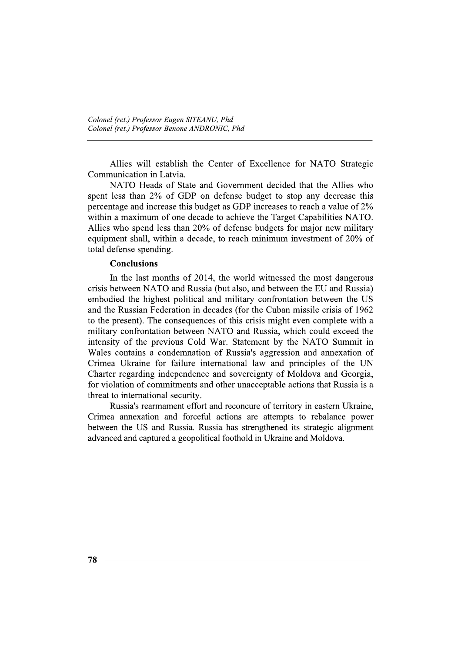Allies will establish the Center of Excellence for NATO Strategic Communication in Latvia.

NATO Heads of State and Government decided that the Allies who spent less than 2% of GDP on defense budget to stop any decrease this percentage and increase this budget as GDP increases to reach a value of 2% within a maximum of one decade to achieve the Target Capabilities NATO. Allies who spend less than 20% of defense budgets for major new military equipment shall, within a decade, to reach minimum investment of 20% of total defense spending.

### **Conclusions**

In the last months of 2014, the world witnessed the most dangerous crisis between NATO and Russia (but also, and between the EU and Russia) embodied the highest political and military confrontation between the US and the Russian Federation in decades (for the Cuban missile crisis of 1962) to the present). The consequences of this crisis might even complete with a military confrontation between NATO and Russia, which could exceed the intensity of the previous Cold War. Statement by the NATO Summit in Wales contains a condemnation of Russia's aggression and annexation of Crimea Ukraine for failure international law and principles of the UN Charter regarding independence and sovereignty of Moldova and Georgia, for violation of commitments and other unacceptable actions that Russia is a threat to international security.

Russia's rearmament effort and reconcure of territory in eastern Ukraine, Crimea annexation and forceful actions are attempts to rebalance power between the US and Russia. Russia has strengthened its strategic alignment advanced and captured a geopolitical foothold in Ukraine and Moldova.